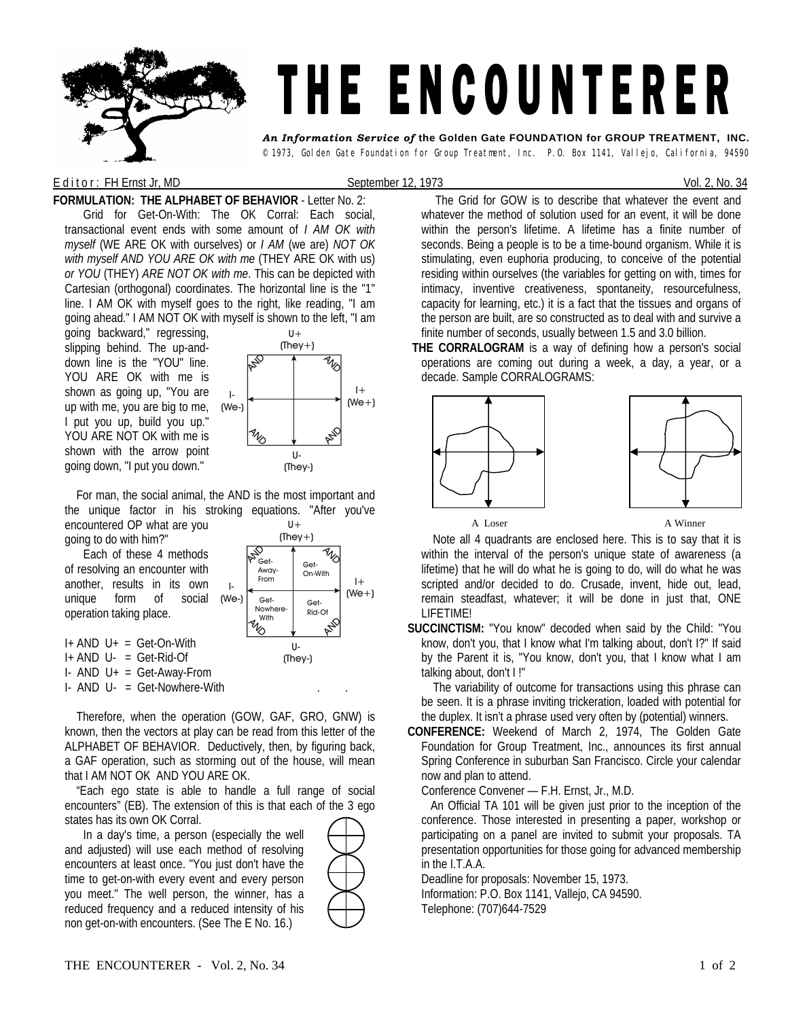

## E d it or : FH Ernst Jr, MD September 12, 1973 Content Content Content Content Content Content Content Content Content Content Content Content Content Content Content Content Content Content Content Content Content Content

**FORMULATION: THE ALPHABET OF BEHAVIOR** - Letter No. 2: Grid for Get-On-With: The OK Corral: Each social, transactional event ends with some amount of *I AM OK with myself* (WE ARE OK with ourselves) or *I AM* (we are) *NOT OK with myself AND YOU ARE OK with me* (THEY ARE OK with us) *or YOU* (THEY) *ARE NOT OK with me*. This can be depicted with Cartesian (orthogonal) coordinates. The horizontal line is the "1" line. I AM OK with myself goes to the right, like reading, "I am going ahead." I AM NOT OK with myself is shown to the left, "I am

going backward," regressing, slipping behind. The up-anddown line is the "YOU" line. YOU ARE OK with me is shown as going up, "You are up with me, you are big to me, I put you up, build you up." YOU ARE NOT OK with me is shown with the arrow point going down, "I put you down."



 For man, the social animal, the AND is the most important and the unique factor in his stroking equations. "After you've encountered OP what are you U+

going to do with him?" Each of these 4 methods of resolving an encounter with another, results in its own unique form of social operation taking place. I- (We-)



I+ AND U+ = Get-On-With I+ AND U- = Get-Rid-Of I- AND U+ = Get-Away-From

 $I-$  AND  $U-$  = Get-Nowhere-With

 Therefore, when the operation (GOW, GAF, GRO, GNW) is known, then the vectors at play can be read from this letter of the ALPHABET OF BEHAVIOR. Deductively, then, by figuring back, a GAF operation, such as storming out of the house, will mean that I AM NOT OK AND YOU ARE OK.

 "Each ego state is able to handle a full range of social encounters" (EB). The extension of this is that each of the 3 ego states has its own OK Corral.

In a day's time, a person (especially the well and adjusted) will use each method of resolving encounters at least once. "You just don't have the time to get-on-with every event and every person you meet." The well person, the winner, has a reduced frequency and a reduced intensity of his non get-on-with encounters. (See The E No. 16.)



The Grid for GOW is to describe that whatever the event and whatever the method of solution used for an event, it will be done within the person's lifetime. A lifetime has a finite number of seconds. Being a people is to be a time-bound organism. While it is stimulating, even euphoria producing, to conceive of the potential residing within ourselves (the variables for getting on with, times for intimacy, inventive creativeness, spontaneity, resourcefulness, capacity for learning, etc.) it is a fact that the tissues and organs of the person are built, are so constructed as to deal with and survive a finite number of seconds, usually between 1.5 and 3.0 billion.

**THE CORRALOGRAM** is a way of defining how a person's social operations are coming out during a week, a day, a year, or a decade. Sample CORRALOGRAMS:



A Loser A Winner

 Note all 4 quadrants are enclosed here. This is to say that it is within the interval of the person's unique state of awareness (a lifetime) that he will do what he is going to do, will do what he was scripted and/or decided to do. Crusade, invent, hide out, lead, remain steadfast, whatever; it will be done in just that, ONE LIFETIME!

**SUCCINCTISM:** "You know" decoded when said by the Child: "You know, don't you, that I know what I'm talking about, don't I?" If said by the Parent it is, "You know, don't you, that I know what I am talking about, don't I !"

 The variability of outcome for transactions using this phrase can be seen. It is a phrase inviting trickeration, loaded with potential for the duplex. It isn't a phrase used very often by (potential) winners.

**CONFERENCE:** Weekend of March 2, 1974, The Golden Gate Foundation for Group Treatment, Inc., announces its first annual Spring Conference in suburban San Francisco. Circle your calendar now and plan to attend.

Conference Convener — F.H. Ernst, Jr., M.D.

An Official TA 101 will be given just prior to the inception of the conference. Those interested in presenting a paper, workshop or participating on a panel are invited to submit your proposals. TA presentation opportunities for those going for advanced membership in the I.T.A.A.

Deadline for proposals: November 15, 1973.

Information: P.O. Box 1141, Vallejo, CA 94590. Telephone: (707)644-7529